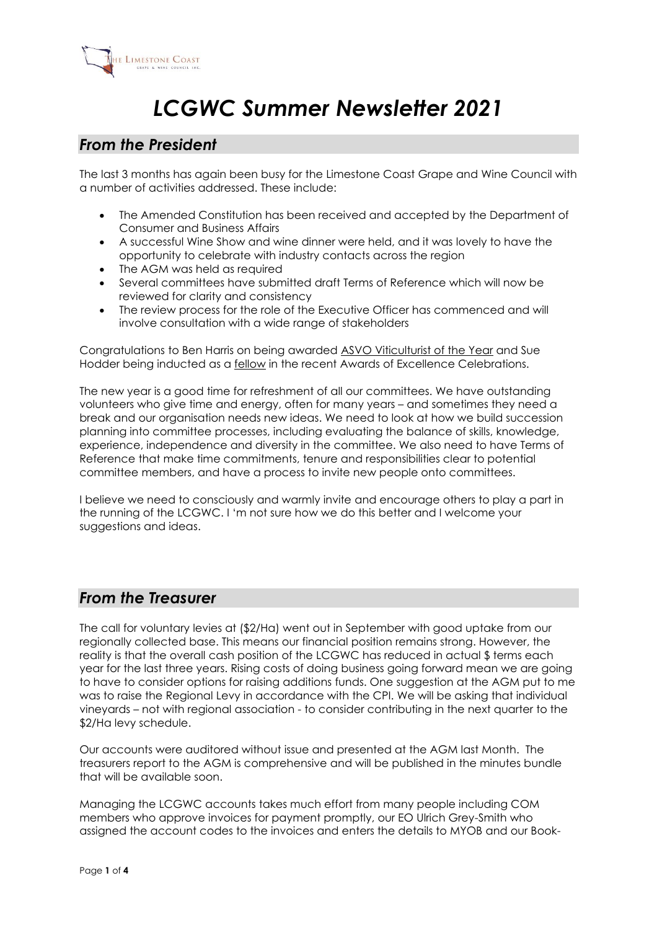

# *LCGWC Summer Newsletter 2021*

# *From the President*

The last 3 months has again been busy for the Limestone Coast Grape and Wine Council with a number of activities addressed. These include:

- The Amended Constitution has been received and accepted by the Department of Consumer and Business Affairs
- A successful Wine Show and wine dinner were held, and it was lovely to have the opportunity to celebrate with industry contacts across the region
- The AGM was held as required
- Several committees have submitted draft Terms of Reference which will now be reviewed for clarity and consistency
- The review process for the role of the Executive Officer has commenced and will involve consultation with a wide range of stakeholders

Congratulations to Ben Harris on being awarded ASVO [Viticulturist](https://www.asvo.com.au/2021-awards-excellence-recipients) of the Year and Sue Hodder being inducted as a [fellow](https://www.asvo.com.au/2021-fellows-society) in the recent Awards of Excellence Celebrations.

The new year is a good time for refreshment of all our committees. We have outstanding volunteers who give time and energy, often for many years – and sometimes they need a break and our organisation needs new ideas. We need to look at how we build succession planning into committee processes, including evaluating the balance of skills, knowledge, experience, independence and diversity in the committee. We also need to have Terms of Reference that make time commitments, tenure and responsibilities clear to potential committee members, and have a process to invite new people onto committees.

I believe we need to consciously and warmly invite and encourage others to play a part in the running of the LCGWC. I 'm not sure how we do this better and I welcome your suggestions and ideas.

# *From the Treasurer*

The call for voluntary levies at (\$2/Ha) went out in September with good uptake from our regionally collected base. This means our financial position remains strong. However, the reality is that the overall cash position of the LCGWC has reduced in actual \$ terms each year for the last three years. Rising costs of doing business going forward mean we are going to have to consider options for raising additions funds. One suggestion at the AGM put to me was to raise the Regional Levy in accordance with the CPI. We will be asking that individual vineyards – not with regional association - to consider contributing in the next quarter to the \$2/Ha levy schedule.

Our accounts were auditored without issue and presented at the AGM last Month. The treasurers report to the AGM is comprehensive and will be published in the minutes bundle that will be available soon.

Managing the LCGWC accounts takes much effort from many people including COM members who approve invoices for payment promptly, our EO Ulrich Grey-Smith who assigned the account codes to the invoices and enters the details to MYOB and our Book-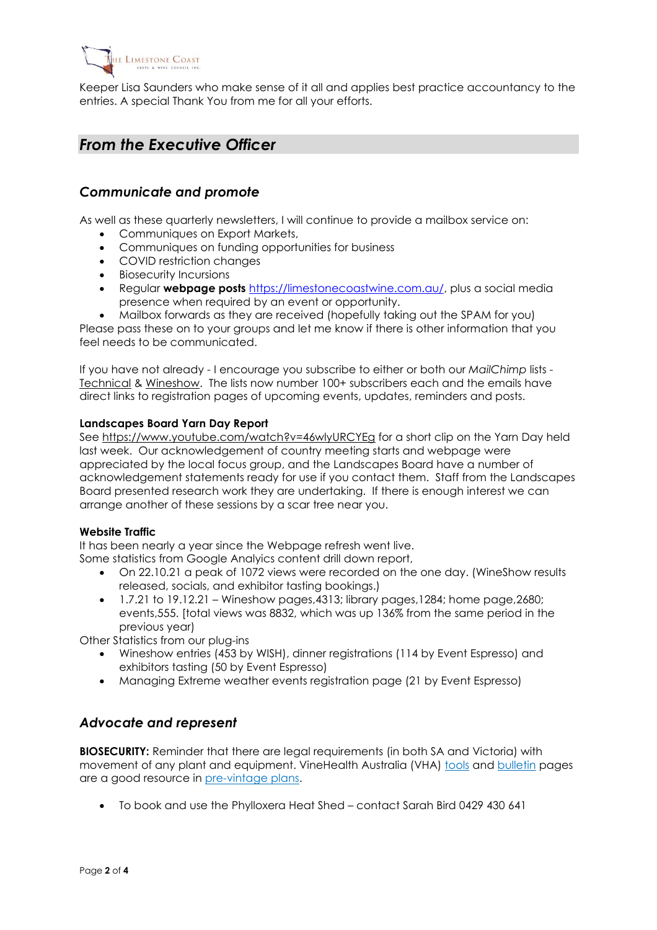

Keeper Lisa Saunders who make sense of it all and applies best practice accountancy to the entries. A special Thank You from me for all your efforts.

# *From the Executive Officer*

## *Communicate and promote*

As well as these quarterly newsletters, I will continue to provide a mailbox service on:

- Communiques on Export Markets,
- Communiques on funding opportunities for business
- COVID restriction changes
- Biosecurity Incursions
- Regular **webpage posts** [https://limestonecoastwine.com.au/,](https://limestonecoastwine.com.au/) plus a social media presence when required by an event or opportunity.
- Mailbox forwards as they are received (hopefully taking out the SPAM for you)

Please pass these on to your groups and let me know if there is other information that you feel needs to be communicated.

If you have not already - I encourage you subscribe to either or both our *MailChimp* lists - [Technical](https://limestonecoastwine.com.au/join-our-email-list-for-workshops-and-symposiums/) & [Wineshow.](https://limestonecoastwine.com.au/join-our-email-list-for-wineshow-news/) The lists now number 100+ subscribers each and the emails have direct links to registration pages of upcoming events, updates, reminders and posts.

#### **Landscapes Board Yarn Day Report**

See <https://www.youtube.com/watch?v=46wlyURCYEg> for a short clip on the Yarn Day held last week. Our acknowledgement of country meeting starts and webpage were appreciated by the local focus group, and the Landscapes Board have a number of acknowledgement statements ready for use if you contact them. Staff from the Landscapes Board presented research work they are undertaking. If there is enough interest we can arrange another of these sessions by a scar tree near you.

#### **Website Traffic**

It has been nearly a year since the Webpage refresh went live. Some statistics from Google Analyics content drill down report,

- On 22.10.21 a peak of 1072 views were recorded on the one day. (WineShow results released, socials, and exhibitor tasting bookings.)
- $\bullet$  1.7.21 to 19.12.21 Wineshow pages, 4313; library pages, 1284; home page, 2680; events,555. [total views was 8832, which was up 136% from the same period in the previous year)

Other Statistics from our plug-ins

- Wineshow entries (453 by WISH), dinner registrations (114 by Event Espresso) and exhibitors tasting (50 by Event Espresso)
- Managing Extreme weather events registration page (21 by Event Espresso)

### *Advocate and represent*

**BIOSECURITY:** Reminder that there are legal requirements (in both SA and Victoria) with movement of any plant and equipment. VineHealth Australia (VHA) [tools](https://vinehealth.com.au/tools/) and [bulletin](https://vinehealth.com.au/category/biosecurity-bulletins/) pages are a good resource in [pre-vintage](https://vinehealth.com.au/2021/09/pre-vintage-biosecurity-tips/) plans.

• To book and use the Phylloxera Heat Shed – contact Sarah Bird 0429 430 641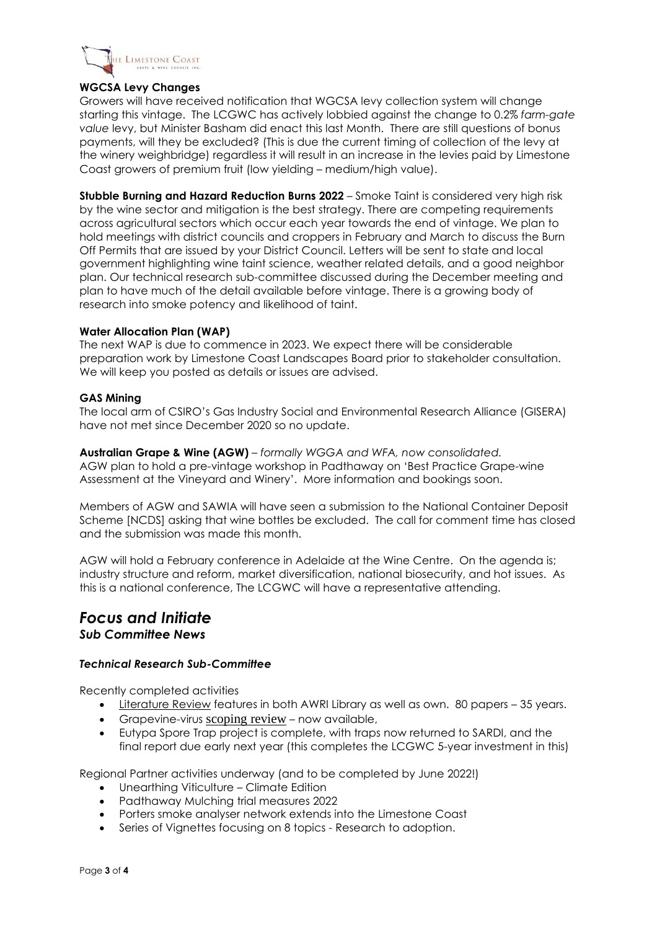

#### **WGCSA Levy Changes**

Growers will have received notification that WGCSA levy collection system will change starting this vintage. The LCGWC has actively lobbied against the change to 0.2% *farm-gate value* levy, but Minister Basham did enact this last Month. There are still questions of bonus payments, will they be excluded? (This is due the current timing of collection of the levy at the winery weighbridge) regardless it will result in an increase in the levies paid by Limestone Coast growers of premium fruit (low yielding – medium/high value).

**Stubble Burning and Hazard Reduction Burns 2022** – Smoke Taint is considered very high risk by the wine sector and mitigation is the best strategy. There are competing requirements across agricultural sectors which occur each year towards the end of vintage. We plan to hold meetings with district councils and croppers in February and March to discuss the Burn Off Permits that are issued by your District Council. Letters will be sent to state and local government highlighting wine taint science, weather related details, and a good neighbor plan. Our technical research sub-committee discussed during the December meeting and plan to have much of the detail available before vintage. There is a growing body of research into smoke potency and likelihood of taint.

#### **Water Allocation Plan (WAP)**

The next WAP is due to commence in 2023. We expect there will be considerable preparation work by Limestone Coast Landscapes Board prior to stakeholder consultation. We will keep you posted as details or issues are advised.

#### **GAS Mining**

The local arm of CSIRO's Gas Industry Social and Environmental Research Alliance (GISERA) have not met since December 2020 so no update.

**Australian Grape & Wine (AGW)** *– formally WGGA and WFA, now consolidated.* AGW plan to hold a pre-vintage workshop in Padthaway on 'Best Practice Grape-wine Assessment at the Vineyard and Winery'. More information and bookings soon.

Members of AGW and SAWIA will have seen a submission to the National Container Deposit Scheme [NCDS] asking that wine bottles be excluded. The call for comment time has closed and the submission was made this month.

AGW will hold a February conference in Adelaide at the Wine Centre. On the agenda is; industry structure and reform, market diversification, national biosecurity, and hot issues. As this is a national conference, The LCGWC will have a representative attending.

## *Focus and Initiate Sub Committee News*

#### *Technical Research Sub-Committee*

Recently completed activities

- [Literature Review](https://limestonecoastwine.com.au/library/category/lc-literature-review-2021/) features in both AWRI Library as well as own. 80 papers 35 years.
- Grapevine-virus [scoping](https://limestonecoastwine.com.au/library/grapevine-virus-symposium-recording/) review now available,
- Eutypa Spore Trap project is complete, with traps now returned to SARDI, and the final report due early next year (this completes the LCGWC 5-year investment in this)

Regional Partner activities underway (and to be completed by June 2022!)

- Unearthing Viticulture Climate Edition
- Padthaway Mulching trial measures 2022
- Porters smoke analyser network extends into the Limestone Coast
- Series of Vignettes focusing on 8 topics Research to adoption.